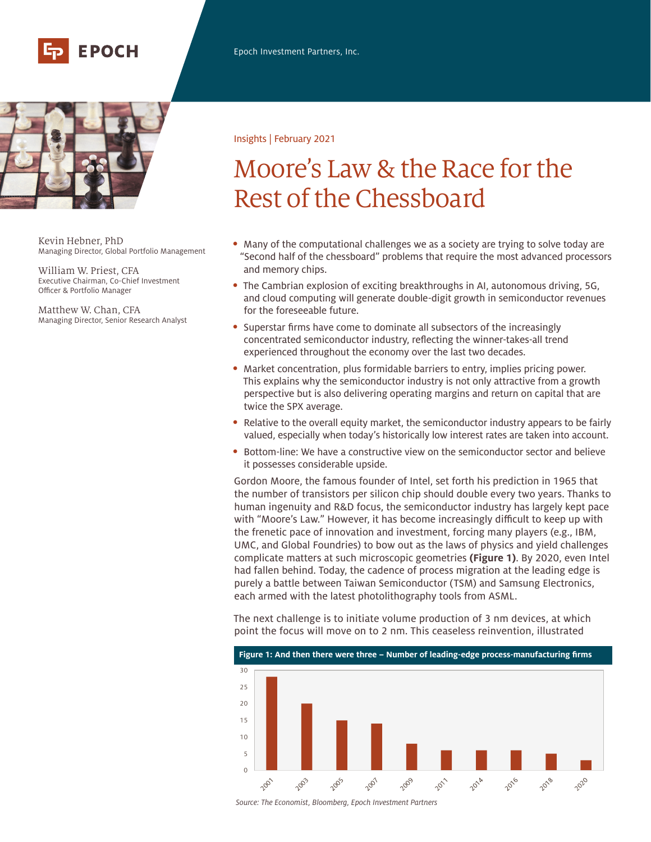



Kevin Hebner, PhD Managing Director, Global Portfolio Management

William W. Priest, CFA Executive Chairman, Co-Chief Investment Officer & Portfolio Manager

Matthew W. Chan, CFA Managing Director, Senior Research Analyst

## Insights | February 2021

# Moore's Law & the Race for the Rest of the Chessboard

- Many of the computational challenges we as a society are trying to solve today are "Second half of the chessboard" problems that require the most advanced processors and memory chips.
- The Cambrian explosion of exciting breakthroughs in AI, autonomous driving, 5G, and cloud computing will generate double-digit growth in semiconductor revenues for the foreseeable future.
- Superstar firms have come to dominate all subsectors of the increasingly concentrated semiconductor industry, reflecting the winner-takes-all trend experienced throughout the economy over the last two decades.
- Market concentration, plus formidable barriers to entry, implies pricing power. This explains why the semiconductor industry is not only attractive from a growth perspective but is also delivering operating margins and return on capital that are twice the SPX average.
- Relative to the overall equity market, the semiconductor industry appears to be fairly valued, especially when today's historically low interest rates are taken into account.
- Bottom-line: We have a constructive view on the semiconductor sector and believe it possesses considerable upside.

Gordon Moore, the famous founder of Intel, set forth his prediction in 1965 that the number of transistors per silicon chip should double every two years. Thanks to human ingenuity and R&D focus, the semiconductor industry has largely kept pace with "Moore's Law." However, it has become increasingly difficult to keep up with the frenetic pace of innovation and investment, forcing many players (e.g., IBM, UMC, and Global Foundries) to bow out as the laws of physics and yield challenges complicate matters at such microscopic geometries **(Figure 1)**. By 2020, even Intel had fallen behind. Today, the cadence of process migration at the leading edge is purely a battle between Taiwan Semiconductor (TSM) and Samsung Electronics, each armed with the latest photolithography tools from ASML.

The next challenge is to initiate volume production of 3 nm devices, at which point the focus will move on to 2 nm. This ceaseless reinvention, illustrated



*Source: The Economist, Bloomberg, Epoch Investment Partners*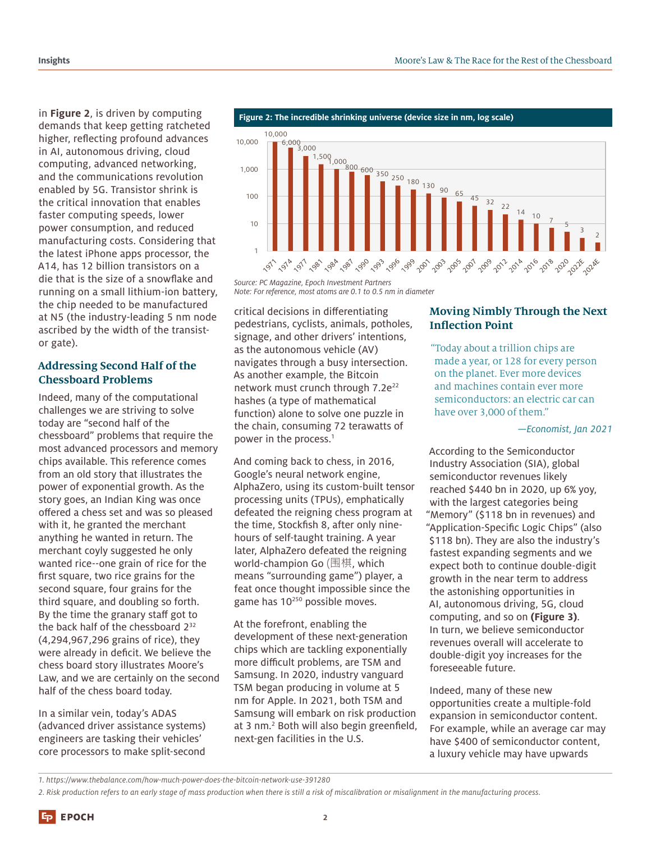in **Figure 2**, is driven by computing demands that keep getting ratcheted higher, reflecting profound advances in AI, autonomous driving, cloud computing, advanced networking, and the communications revolution enabled by 5G. Transistor shrink is the critical innovation that enables faster computing speeds, lower power consumption, and reduced manufacturing costs. Considering that the latest iPhone apps processor, the A14, has 12 billion transistors on a die that is the size of a snowflake and running on a small lithium-ion battery, the chip needed to be manufactured at N5 (the industry-leading 5 nm node ascribed by the width of the transistor gate).

# **Addressing Second Half of the Chessboard Problems**

Indeed, many of the computational challenges we are striving to solve today are "second half of the chessboard" problems that require the most advanced processors and memory chips available. This reference comes from an old story that illustrates the power of exponential growth. As the story goes, an Indian King was once offered a chess set and was so pleased with it, he granted the merchant anything he wanted in return. The merchant coyly suggested he only wanted rice--one grain of rice for the first square, two rice grains for the second square, four grains for the third square, and doubling so forth. By the time the granary staff got to the back half of the chessboard 232 (4,294,967,296 grains of rice), they were already in deficit. We believe the chess board story illustrates Moore's Law, and we are certainly on the second half of the chess board today.

In a similar vein, today's ADAS (advanced driver assistance systems) engineers are tasking their vehicles' core processors to make split-second



**Figure 2: The incredible shrinking universe (device size in nm, log scale)**

*Source: PC Magazine, Epoch Investment Partners Note: For reference, most atoms are 0.1 to 0.5 nm in diameter*

critical decisions in differentiating pedestrians, cyclists, animals, potholes, signage, and other drivers' intentions, as the autonomous vehicle (AV) navigates through a busy intersection. As another example, the Bitcoin network must crunch through  $7.2e^{22}$ hashes (a type of mathematical function) alone to solve one puzzle in the chain, consuming 72 terawatts of power in the process.<sup>1</sup>

And coming back to chess, in 2016, Google's neural network engine, AlphaZero, using its custom-built tensor processing units (TPUs), emphatically defeated the reigning chess program at the time, Stockfish 8, after only ninehours of self-taught training. A year later, AlphaZero defeated the reigning world-champion Go (围棋, which means "surrounding game") player, a feat once thought impossible since the game has 10<sup>250</sup> possible moves.

At the forefront, enabling the development of these next-generation chips which are tackling exponentially more difficult problems, are TSM and Samsung. In 2020, industry vanguard TSM began producing in volume at 5 nm for Apple. In 2021, both TSM and Samsung will embark on risk production at 3 nm.2 Both will also begin greenfield, next-gen facilities in the U.S.

# **Moving Nimbly Through the Next Inflection Point**

"Today about a trillion chips are made a year, or 128 for every person on the planet. Ever more devices and machines contain ever more semiconductors: an electric car can have over 3,000 of them."

*—Economist, Jan 2021*

According to the Semiconductor Industry Association (SIA), global semiconductor revenues likely reached \$440 bn in 2020, up 6% yoy, with the largest categories being "Memory" (\$118 bn in revenues) and "Application-Specific Logic Chips" (also \$118 bn). They are also the industry's fastest expanding segments and we expect both to continue double-digit growth in the near term to address the astonishing opportunities in AI, autonomous driving, 5G, cloud computing, and so on **(Figure 3)**. In turn, we believe semiconductor revenues overall will accelerate to double-digit yoy increases for the foreseeable future.

Indeed, many of these new opportunities create a multiple-fold expansion in semiconductor content. For example, while an average car may have \$400 of semiconductor content, a luxury vehicle may have upwards

*<sup>1.</sup> https://www.thebalance.com/how-much-power-does-the-bitcoin-network-use-391280*

*<sup>2.</sup> Risk production refers to an early stage of mass production when there is still a risk of miscalibration or misalignment in the manufacturing process.*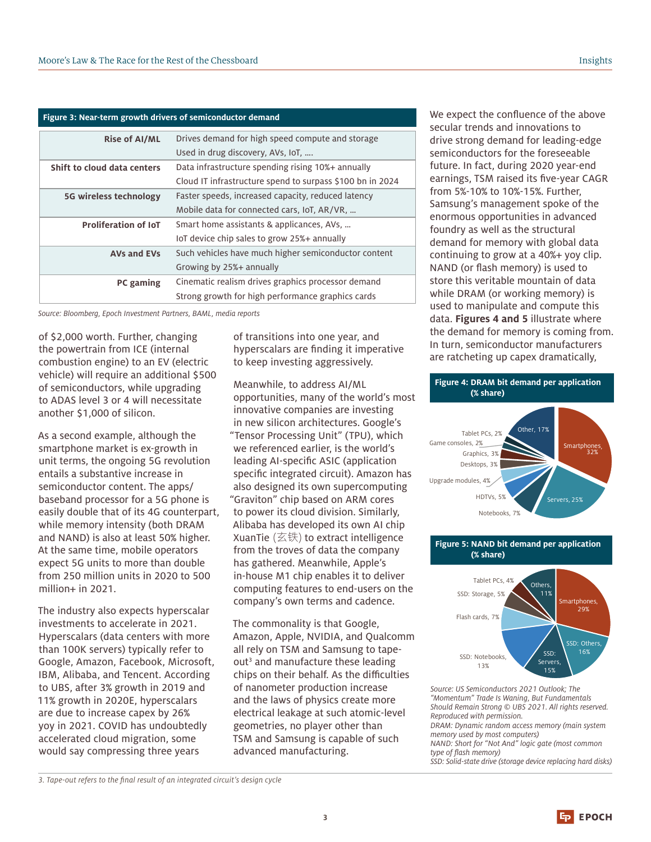| Figure 3: Near-term growth drivers of semiconductor demand |                                                           |
|------------------------------------------------------------|-----------------------------------------------------------|
| <b>Rise of AI/ML</b>                                       | Drives demand for high speed compute and storage          |
|                                                            | Used in drug discovery, AVs, IoT,                         |
| Shift to cloud data centers                                | Data infrastructure spending rising 10%+ annually         |
|                                                            | Cloud IT infrastructure spend to surpass \$100 bn in 2024 |
| <b>5G wireless technology</b>                              | Faster speeds, increased capacity, reduced latency        |
|                                                            | Mobile data for connected cars, IoT, AR/VR,               |
| <b>Proliferation of IoT</b>                                | Smart home assistants & applicances, AVs,                 |
|                                                            | IoT device chip sales to grow 25%+ annually               |
| <b>AVs and EVs</b>                                         | Such vehicles have much higher semiconductor content      |
|                                                            | Growing by 25%+ annually                                  |
| PC gaming                                                  | Cinematic realism drives graphics processor demand        |
|                                                            | Strong growth for high performance graphics cards         |

*Source: Bloomberg, Epoch Investment Partners, BAML, media reports*

of \$2,000 worth. Further, changing the powertrain from ICE (internal combustion engine) to an EV (electric vehicle) will require an additional \$500 of semiconductors, while upgrading to ADAS level 3 or 4 will necessitate another \$1,000 of silicon.

As a second example, although the smartphone market is ex-growth in unit terms, the ongoing 5G revolution entails a substantive increase in semiconductor content. The apps/ baseband processor for a 5G phone is easily double that of its 4G counterpart, while memory intensity (both DRAM and NAND) is also at least 50% higher. At the same time, mobile operators expect 5G units to more than double from 250 million units in 2020 to 500 million+ in 2021.

The industry also expects hyperscalar investments to accelerate in 2021. Hyperscalars (data centers with more than 100K servers) typically refer to Google, Amazon, Facebook, Microsoft, IBM, Alibaba, and Tencent. According to UBS, after 3% growth in 2019 and 11% growth in 2020E, hyperscalars are due to increase capex by 26% yoy in 2021. COVID has undoubtedly accelerated cloud migration, some would say compressing three years

of transitions into one year, and hyperscalars are finding it imperative to keep investing aggressively.

Meanwhile, to address AI/ML opportunities, many of the world's most innovative companies are investing in new silicon architectures. Google's "Tensor Processing Unit" (TPU), which we referenced earlier, is the world's leading AI-specific ASIC (application specific integrated circuit). Amazon has also designed its own supercomputing "Graviton" chip based on ARM cores to power its cloud division. Similarly, Alibaba has developed its own AI chip XuanTie  $(\mathfrak{\overline{Z}}\ddot{\otimes})$  to extract intelligence from the troves of data the company has gathered. Meanwhile, Apple's in-house M1 chip enables it to deliver computing features to end-users on the company's own terms and cadence.

The commonality is that Google, Amazon, Apple, NVIDIA, and Qualcomm all rely on TSM and Samsung to tapeout<sup>3</sup> and manufacture these leading chips on their behalf. As the difficulties of nanometer production increase and the laws of physics create more electrical leakage at such atomic-level geometries, no player other than TSM and Samsung is capable of such advanced manufacturing.

We expect the confluence of the above secular trends and innovations to drive strong demand for leading-edge semiconductors for the foreseeable future. In fact, during 2020 year-end earnings, TSM raised its five-year CAGR from 5%-10% to 10%-15%. Further, Samsung's management spoke of the enormous opportunities in advanced foundry as well as the structural demand for memory with global data continuing to grow at a 40%+ yoy clip. NAND (or flash memory) is used to store this veritable mountain of data while DRAM (or working memory) is used to manipulate and compute this data. **Figures 4 and 5** illustrate where the demand for memory is coming from. In turn, semiconductor manufacturers are ratcheting up capex dramatically,



#### **Figure 5: NAND bit demand per application (% share)**



*Source: US Semiconductors 2021 Outlook; The "Momentum" Trade Is Waning, But Fundamentals Should Remain Strong © UBS 2021. All rights reserved. Reproduced with permission. DRAM: Dynamic random access memory (main system* 

*memory used by most computers) NAND: Short for "Not And" logic gate (most common*  type of flash memory)

*SSD: Solid-state drive (storage device replacing hard disks)*

3. Tape-out refers to the final result of an integrated circuit's design cycle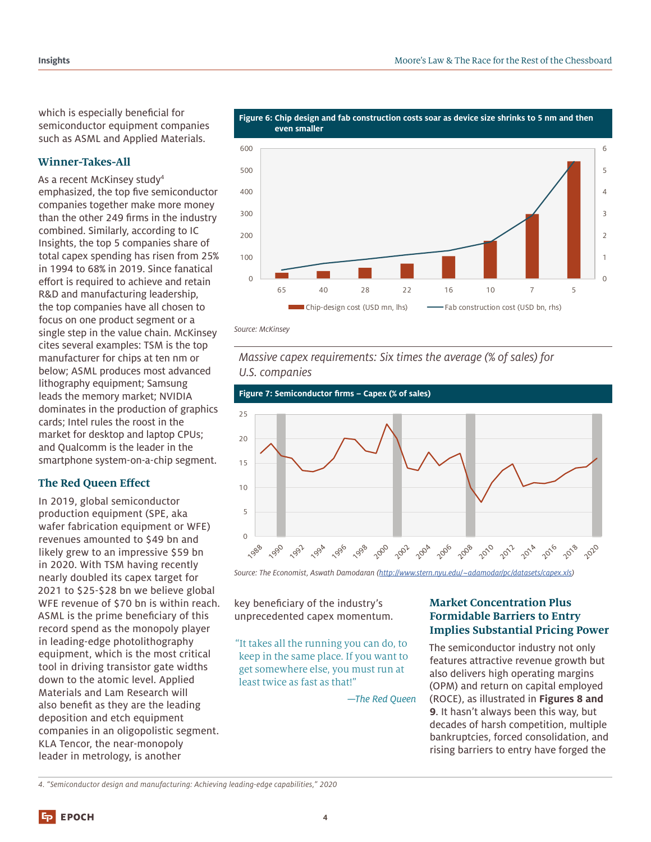which is especially beneficial for semiconductor equipment companies such as ASML and Applied Materials.

## **Winner-Takes-All**

As a recent McKinsey study4 emphasized, the top five semiconductor companies together make more money than the other 249 firms in the industry combined. Similarly, according to IC Insights, the top 5 companies share of total capex spending has risen from 25% in 1994 to 68% in 2019. Since fanatical effort is required to achieve and retain R&D and manufacturing leadership, the top companies have all chosen to focus on one product segment or a single step in the value chain. McKinsey cites several examples: TSM is the top manufacturer for chips at ten nm or below; ASML produces most advanced lithography equipment; Samsung leads the memory market; NVIDIA dominates in the production of graphics cards; Intel rules the roost in the market for desktop and laptop CPUs; and Qualcomm is the leader in the smartphone system-on-a-chip segment.

## **The Red Queen Effect**

In 2019, global semiconductor production equipment (SPE, aka wafer fabrication equipment or WFE) revenues amounted to \$49 bn and likely grew to an impressive \$59 bn in 2020. With TSM having recently nearly doubled its capex target for 2021 to \$25-\$28 bn we believe global WFE revenue of \$70 bn is within reach. ASML is the prime beneficiary of this record spend as the monopoly player in leading-edge photolithography equipment, which is the most critical tool in driving transistor gate widths down to the atomic level. Applied Materials and Lam Research will also benefit as they are the leading deposition and etch equipment companies in an oligopolistic segment. KLA Tencor, the near-monopoly leader in metrology, is another



**Figure 6: Chip design and fab construction costs soar as device size shrinks to 5 nm and then** 

*Source: McKinsey*

*Massive capex requirements: Six times the average (% of sales) for U.S. companies*



*Source: The Economist, Aswath Damodaran (http://www.stern.nyu.edu/~adamodar/pc/datasets/capex.xls)*

key beneficiary of the industry's unprecedented capex momentum.

"It takes all the running you can do, to keep in the same place. If you want to get somewhere else, you must run at least twice as fast as that!"

*—The Red Queen*

# **Market Concentration Plus Formidable Barriers to Entry Implies Substantial Pricing Power**

The semiconductor industry not only features attractive revenue growth but also delivers high operating margins (OPM) and return on capital employed (ROCE), as illustrated in **Figures 8 and 9**. It hasn't always been this way, but decades of harsh competition, multiple bankruptcies, forced consolidation, and rising barriers to entry have forged the

*4. "Semiconductor design and manufacturing: Achieving leading-edge capabilities," 2020*

**中**EPOCH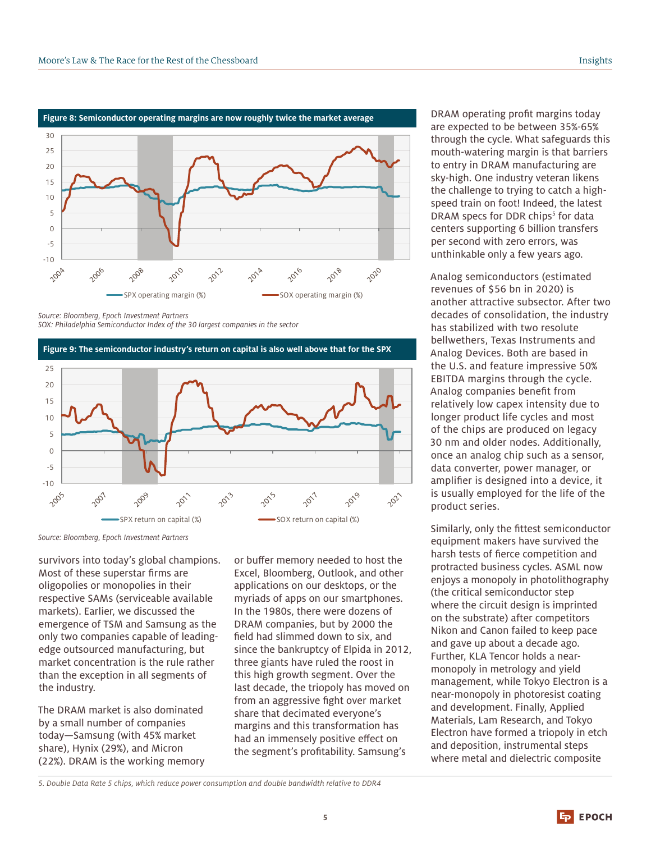

*Source: Bloomberg, Epoch Investment Partners SOX: Philadelphia Semiconductor Index of the 30 largest companies in the sector*



**Figure 9: The semiconductor industry's return on capital is also well above that for the SPX**

*Source: Bloomberg, Epoch Investment Partners*

survivors into today's global champions. Most of these superstar firms are oligopolies or monopolies in their respective SAMs (serviceable available markets). Earlier, we discussed the emergence of TSM and Samsung as the only two companies capable of leadingedge outsourced manufacturing, but market concentration is the rule rather than the exception in all segments of the industry.

The DRAM market is also dominated by a small number of companies today—Samsung (with 45% market share), Hynix (29%), and Micron (22%). DRAM is the working memory or buffer memory needed to host the Excel, Bloomberg, Outlook, and other applications on our desktops, or the myriads of apps on our smartphones. In the 1980s, there were dozens of DRAM companies, but by 2000 the field had slimmed down to six, and since the bankruptcy of Elpida in 2012, three giants have ruled the roost in this high growth segment. Over the last decade, the triopoly has moved on from an aggressive fight over market share that decimated everyone's margins and this transformation has had an immensely positive effect on the segment's profitability. Samsung's

DRAM operating profit margins today are expected to be between 35%-65% through the cycle. What safeguards this mouth-watering margin is that barriers to entry in DRAM manufacturing are sky-high. One industry veteran likens the challenge to trying to catch a highspeed train on foot! Indeed, the latest DRAM specs for DDR chips<sup>5</sup> for data centers supporting 6 billion transfers per second with zero errors, was unthinkable only a few years ago.

Analog semiconductors (estimated revenues of \$56 bn in 2020) is another attractive subsector. After two decades of consolidation, the industry has stabilized with two resolute bellwethers, Texas Instruments and Analog Devices. Both are based in the U.S. and feature impressive 50% EBITDA margins through the cycle. Analog companies benefit from relatively low capex intensity due to longer product life cycles and most of the chips are produced on legacy 30 nm and older nodes. Additionally, once an analog chip such as a sensor, data converter, power manager, or amplifier is designed into a device, it is usually employed for the life of the product series.

Similarly, only the fittest semiconductor equipment makers have survived the harsh tests of fierce competition and protracted business cycles. ASML now enjoys a monopoly in photolithography (the critical semiconductor step where the circuit design is imprinted on the substrate) after competitors Nikon and Canon failed to keep pace and gave up about a decade ago. Further, KLA Tencor holds a nearmonopoly in metrology and yield management, while Tokyo Electron is a near-monopoly in photoresist coating and development. Finally, Applied Materials, Lam Research, and Tokyo Electron have formed a triopoly in etch and deposition, instrumental steps where metal and dielectric composite

*5. Double Data Rate 5 chips, which reduce power consumption and double bandwidth relative to DDR4*